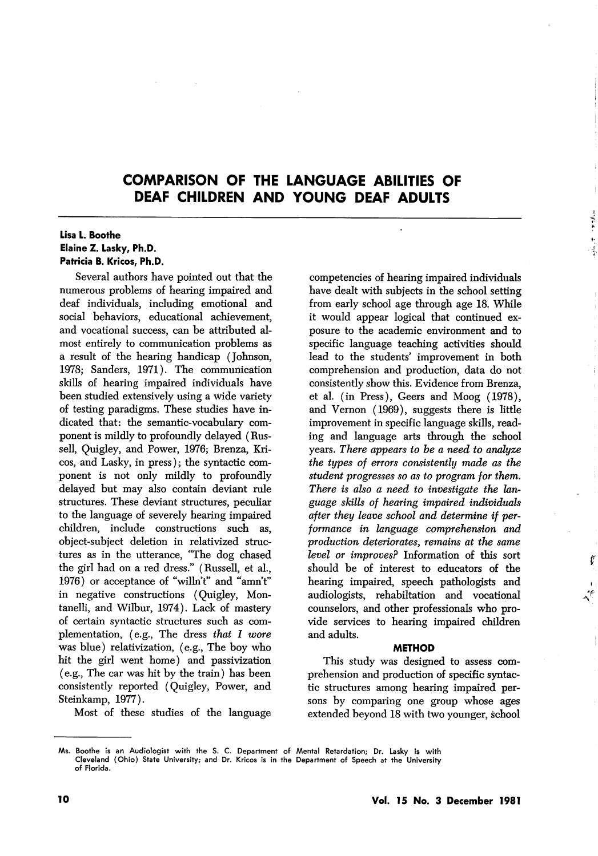# COMPARISON OF THE LANGUAGE ABILITIES OF DEAF CHILDREN AND YOUNG DEAF ADULTS

### Lisa L. Boothe Elaine Z. Lasky, Ph.D. Patricia B. Kricos, Ph.D.

Several authors have pointed out that the numerous problems of hearing impaired and deaf individuals, including emotional and social behaviors, educational achievement, and vocational success, can be attributed al most entirely to communication problems as a result of the hearing handicap (Johnson, 1978; Sanders, 1971). The communication skills of hearing impaired individuals have been studied extensively using a wide variety of testing paradigms. These studies have in dicated that: the semantic-vocabulary com ponent is mildly to profoundly delayed (Rus sell, Quigley, and Power, 1976; Brenza, Kri cos, and Lasky, in press); the syntactic com ponent is not only mildly to profoundly delayed but may also contain deviant rule structures. These deviant structures, peculiar to the language of severely hearing impaired children, include constructions such as, object-subject deletion in relativized struc tures as in the utterance, "The dog chased the girl had on a red dress." (Russell, et al., 1976) or acceptance of "willn't" and "amn't" in negative constructions (Quigley, Montanelli, and Wilbur, 1974). Lack of mastery of certain syntactic structures such as com plementation, (e.g., The dress that I wore was blue) relativization, (e.g.. The boy who hit the girl went home) and passivization (e.g.. The car was hit by the train) has been consistently reported (Quigley, Power, and Steinkamp, 1977).

Most of these studies of the language

competencies of hearing impaired individuals have dealt with subjects in the school setting from early school age through age 18. While it would appear logical that continued ex posure to the academic environment and to specific language teaching activities should lead to the students' improvement in both comprehension and production, data do not consistently show this. Evidence from Brenza, et al. (in Press), Geers and Moog (1978), and Vernon (1969), suggests there is little improvement in specific language skills, read ing and language arts through the school years. There appears to be a need to analyze the types of errors consistently made as the student progresses so as to program for them. There is also a need to investigate the language skills of hearing impaired individuals after they leave school and determine if per formance in language comprehension and production deteriorates, remains at the same level or improves? Information of this sort should be of interest to educators of the hearing impaired, speech pathologists and audiologists, rehabiltation and vocational counselors, and other professionals who pro vide services to hearing impaired children and adults.

#### METHOD

This study was designed to assess com prehension and production of specific syntac tic structures among hearing impaired per sons by comparing one group whose ages extended beyond 18 with two younger, school

Ms. Boothe is an Audlologist with the S. C. Department of Mental Retardation; Dr. Lasky is with Cleveland (Ohio) State University; and Dr. Kricos is in the Department of Speech at the University of Florida.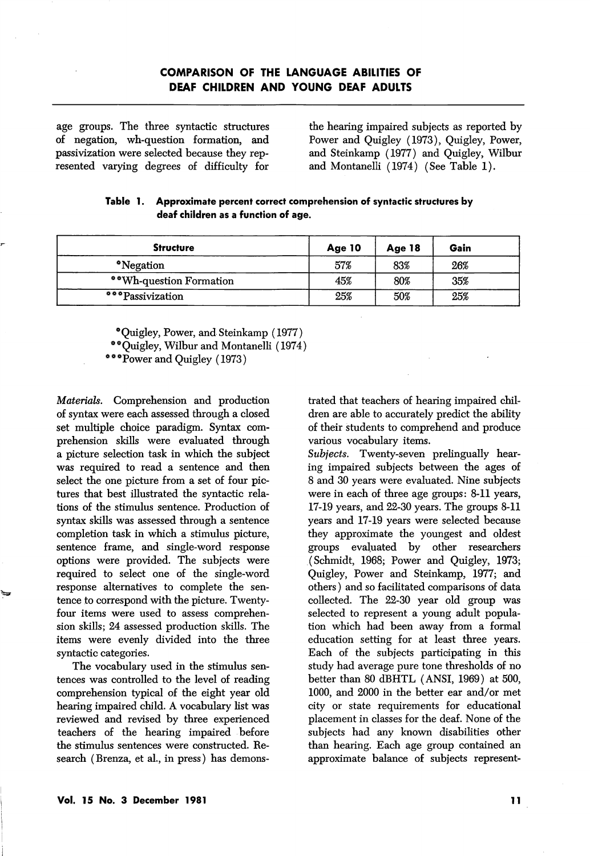## COMPARISON OF THE LANGUAGE ABILITIES OF DEAF CHILDREN AND YOUNG DEAF ADULTS

age groups. The three syntactic structures of negation, wh-question formation, and passivization were selected because they rep resented varying degrees of difficulty for

the hearing impaired subjects as reported by Power and Quigley (1973), Quigley, Power, and Steinkamp (1977) and Quigley, Wilbur and Montanelli (1974) (See Table 1).

| <b>Structure</b>        | Age 10 | Age 18 | Gain |
|-------------------------|--------|--------|------|
| *Negation               | 57%    | 83%    | 26%  |
| **Wh-question Formation | 45%    | 80%    | 35%  |
| ***Passivization        | 25%    | 50%    | 25%  |

|  | Table 1. Approximate percent correct comprehension of syntactic structures by |  |  |  |  |  |
|--|-------------------------------------------------------------------------------|--|--|--|--|--|
|  | deaf children as a function of age.                                           |  |  |  |  |  |

\* Quigley, Power, and Steinkamp (1977)

\*\* Quigley, Wilbur and Montanelli (1974)

\* \* \*Power and Quigley (1973)

Materials. Comprehension and production of syntax were each assessed through a closed set multiple choice paradigm. Syntax com prehension skills were evaluated through a picture selection task in which the subject was required to read a sentence and then select the one picture from a set of four pic tures that best illustrated the syntactic rela tions of the stimulus sentence. Production of syntax skills was assessed through a sentence completion task in which a stimulus picture, sentence frame, and single-word response options were provided. The subjects were required to select one of the single-word response alternatives to complete the sen tence to correspond with the picture. Twentyfour items were used to assess comprehen sion skills; 24 assessed production skills. The items were evenly divided into the three syntactic categories.

The vocabulary used in the stimulus sen tences was controlled to the level of reading comprehension typical of the eight year old hearing impaired child. A vocabulary list was reviewed and revised by three experienced teachers of the hearing impaired before the stimulus sentences were constructed. Re search (Brenza, et al., in press) has demons

trated that teachers of hearing impaired chil dren are able to accurately predict the ability of their students to comprehend and produce various vocabulary items.

Subjects. Twenty-seven prelingually hearing impaired subjects between the ages of 8 and 30 years were evaluated. Nine subjects were in each of three age groups: 8-11 years, 17-19 years, and 22-30 years. The groups 8-11 years and 17-19 years were selected because they approximate the youngest and oldest groups evaluated by other researchers (Schmidt, 1968; Power and Quigley, 1973; Quigley, Power and Steinkamp, 1977; and others) and so facilitated comparisons of data collected. The 22-30 year old group was selected to represent a young adult popula tion which had been away from a formal education setting for at least three years. Each of the subjects participating in this study had average pure tone thresholds of no better than 80 dBHTL (ANSI, 1969) at 500, 1000, and 2000 in the better ear and/or met city or state requirements for educational placement in classes for the deaf. None of the subjects had any known disabilities other than hearing. Each age group contained an approximate balance of subjects represent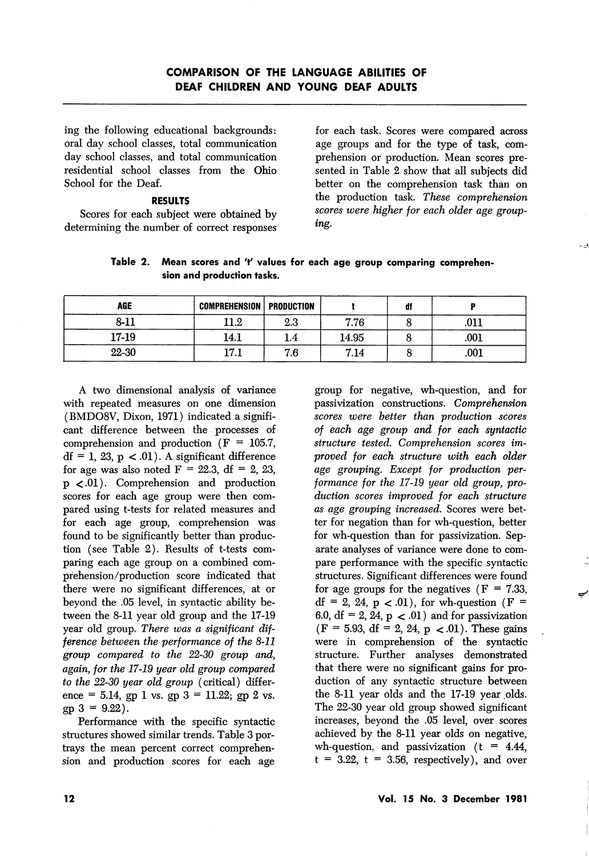ing the following educational backgrounds: oral day school classes, total communication day school classes, and total communication residential school classes from the Ohio School for the Deaf.

### RESULTS

Scores for each subject were obtained by determining the number of correct responses

for each task. Scores were compared across age groups and for the type of task, com prehension or production. Mean scores pre sented in Table 2 show that all subjects did better on the comprehension task than on the production task. These comprehension scores were higher for each older age group ing.

| Table 2. Mean scores and 't' values for each age group comparing comprehen- |  |
|-----------------------------------------------------------------------------|--|
| sion and production tasks.                                                  |  |

| <b>AGE</b> | <b>COMPREHENSION   PRODUCTION</b> |     |       | df |      |
|------------|-----------------------------------|-----|-------|----|------|
| $8 - 11$   | 11.2                              | 2.3 | 7.76  |    | .011 |
| 17-19      | 14.1                              |     | 14.95 |    | .001 |
| 22-30      | 17 1<br>.                         | 7.6 | 7.14  |    | .001 |

A two dimensional analysis of variance With repeated measures on one dimension (BMD08V, Dixon, 1971) indicated a signifi cant difference between the processes of comprehension and production ( $F = 105.7$ ,  $df = 1$ , 23,  $p < 0.01$ . A significant difference for age was also noted  $F = 22.3$ , df = 2, 23, p <.01). Comprehension and production scores for each age group were then com pared using t-tests for related measures and for each age group, comprehension was found to be significantly better than produc tion (see Table 2). Results of t-tests com paring each age group on a combined com prehension/production score indicated that there were no significant differences, at or beyond the .05 level, in syntactic ability be tween the 8-11 year old group and the 17-19 year old group. There was a significant dif ference between the performance of the 8-11 group compared to the 22-30 group and, again, for the 17-19 year old group compared to the 22-30 year old group (critical) differ ence = 5.14, gp 1 vs. gp  $3 = 11.22$ ; gp 2 vs.  $gp 3 = 9.22$ .

Performance with the specific syntactic structures showed similar trends. Table 3 por trays the mean percent correct comprehen sion and production scores for each age

group for negative, wh-question, and for passivization constructions. Comprehension scores were better than production scores of each age group and for each syntactic structure tested. Comprehension scores im proved for each structure with each older age grouping. Except for production per formance for the 17-19 year old group, pro duction scores improved for each structure as age grouping increased. Scores were bet ter for negation than for wh-question, better for wh-question than for passivization. Sep arate analyses of variance were done to com pare performance with the specific syntactic structures. Significant differences were found for age groups for the negatives  $(F = 7.33)$ ,  $df = 2$ , 24, p < 0.01), for wh-question (F = 6.0, df = 2, 24,  $p < .01$ ) and for passivization  $(F = 5.93, df = 2, 24, p < 0.01)$ . These gains were in comprehension of the syntactic structure. Further analyses demonstrated that there were no significant gains for pro duction of any syntactic structure between the 8-11 year olds and the 17-19 year olds. The 22-30 year old group showed significant increases, beyond the .05 level, over scores achieved by the 8-11 year olds on negative, wh-question, and passivization  $(t = 4.44)$ ,  $t = 3.22$ ,  $t = 3.56$ , respectively), and over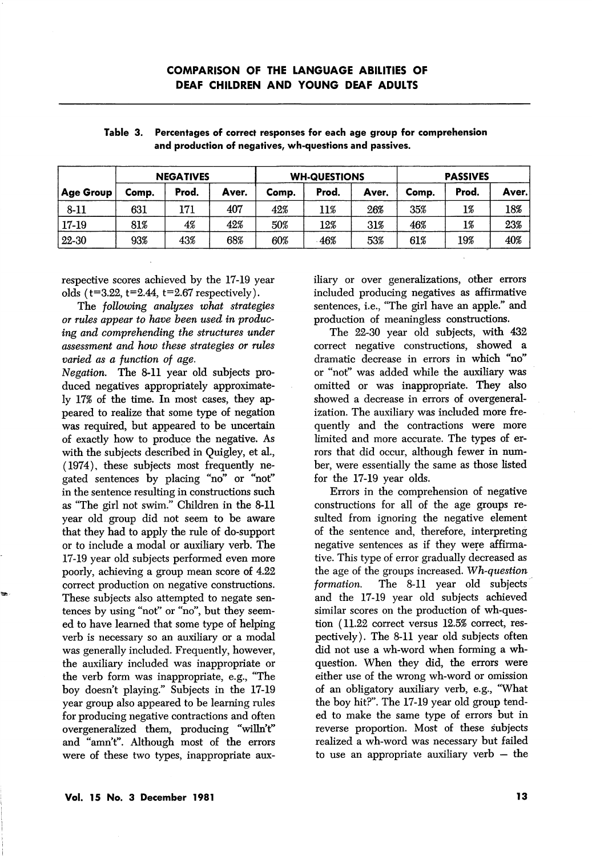|           | <b>NEGATIVES</b> |       |       | <b>WH-QUESTIONS</b> |       |       | <b>PASSIVES</b> |       |       |
|-----------|------------------|-------|-------|---------------------|-------|-------|-----------------|-------|-------|
| Age Group | Comp.            | Prod. | Aver. | Comp.               | Prod. | Aver. | Comp.           | Prod. | Aver. |
| 8-11      | 631              | 171   | 407   | 42%                 | 11%   | 26%   | 35%             | 1%    | 18%   |
| 17-19     | 81%              | 4%    | 42%   | 50%                 | 12%   | 31%   | 46%             | 1%    | 23%   |
| 22-30     | 93%              | 43%   | 68%   | 60%                 | 46%   | 53%   | 61%             | 19%   | 40%   |

Table 3. Percentages of correct responses for each age group for comprehension and production of negatives, wh-questions and passives.

respective scores achieved by the 17-19 year olds  $(t=3.22, t=2.44, t=2.67$  respectively).

The following analyzes what strategies or rules appear to have been used in produc ing and comprehending the structures under assessment and how these strategies or rules varied as a function of age.

Negation. The 8-11 year old subjects pro duced negatives appropriately approximate ly 17% of the time. In most cases, they ap peared to realize that some type of negation was required, but appeared to be uncertain of exactly how to produce the negative. As with the subjects described in Quigley, et al., (1974), these subjects most frequently ne gated sentences by placing "no" or "not" in the sentence resulting in constructions such as "The girl not swim." Children in the 8-11 year old group did not seem to be aware that they had to apply the rule of do-support or to include a modal or auxiliary verb. The 17-19 year old subjects performed even more poorly, achieving a group mean score of 4.22 correct production on negative constructions. These subjects also attempted to negate sen tences by using "not" or "no", but they seem ed to have learned that some type of helping verb is necessary so an auxiliary or a modal was generally included. Frequently, however, the auxiliary included was inappropriate or the verb form was inappropriate, e.g., "The boy doesn't playing." Subjects in the 17-19 year group also appeared to be learning rules for producing negative contractions and often overgeneralized them, producing "wiUn't" and "amn't". Although most of the errors were of these two types, inappropriate aux

iliary or over generalizations, other errors included producing negatives as affirmative sentences, i.e., "The girl have an apple." and production of meaningless constructions.

The 22-30 year old subjects, with 432 correct negative constructions, showed a dramatic decrease in errors in which "no" or "not" was added while the auxiliary was omitted or was inappropriate. They also showed a decrease in errors of overgeneralization. The auxiliary was included more fre quently and the contractions were more limited and more accurate. The types of er rors that did occur, although fewer in number, were essentially the same as those listed for the 17-19 year olds.

Errors in the comprehension of negative constructions for all of the age groups re sulted from ignoring the negative element of the sentence and, therefore, interpreting negative sentences as if they were affirma tive. This type of error gradually decreased as the age of the groups increased. Wh-question formation. The 8-11 year old subjects and the 17-19 year old subjects achieved similar scores on the production of wh-ques tion (11.22 correct versus 12.5% correct, res pectively). The 8-11 year old subjects often did not use a wh-word when forming a whquestion. When they did, the errors were either use of the wrong wh-word or omission of an obligatory auxiliary verb, e.g., "What the boy hit?". The 17-19 year old group tend ed to make the same type of errors but in reverse proportion. Most of these subjects realized a wh-word was necessary but failed to use an appropriate auxiliary verb — the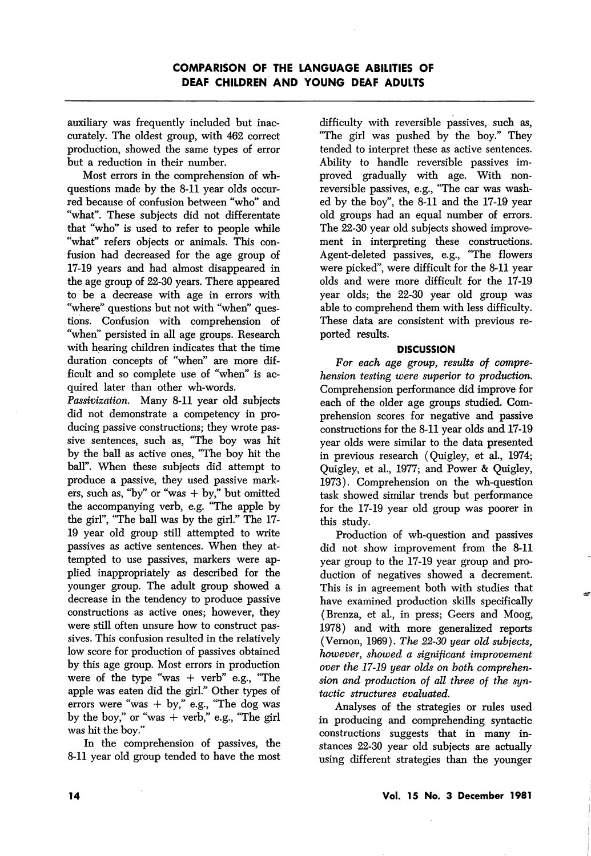auxiliary was frequently included but inac curately. The oldest group, with 462 correct production, showed the same types of error but a reduction in their number.

Most errors in the comprehension of whquestions made by the 8-11 year olds occur red because of confusion between "who" and "what". These subjects did not differentate that "who" is used to refer to people while "what" refers objects or animals. This con fusion had decreased for the age group of 17-19 years and had almost disappeared in the age group of 22-30 years. There appeared to be a decrease with age in errors with "where" questions but not with "when" ques tions. Confusion with comprehension of "when" persisted in all age groups. Research with hearing children indicates that the time duration concepts of "when" are more dif ficult and so complete use of "when" is ac quired later than other wh-words.

Passivization. Many 8-11 year old subjects did not demonstrate a competency in pro ducing passive constructions; they wrote pas sive sentences, such as, "The boy was hit by the ball as active ones, "The boy hit the ball". When these subjects did attempt to produce a passive, they used passive mark ers, such as, "by" or "was  $+$  by," but omitted the accompanying verb, e.g. "The apple by the girl", "The ball was by the girl." The 17- 19 year old group still attempted to write passives as active sentences. When they at tempted to use passives, markers were ap plied inappropriately as described for the younger group. The adult group showed a decrease in the tendency to produce passive constructions as active ones; however, they were still often unsure how to construct pas sives. This confusion resulted in the relatively low score for production of passives obtained by this age group. Most errors in production were of the type "was  $+$  verb" e.g., "The apple was eaten did the girl." Other types of errors were "was  $+$  by," e.g., "The dog was by the boy," or "was  $+$  verb," e.g., "The girl was hit the boy."

In the comprehension of passives, the 8-11 year old group tended to have the most

difficulty with reversible passives, such as, "The girl was pushed by the boy." They tended to interpret these as active sentences. Ability to handle reversible passives im proved gradually with age. With nonreversible passives, e.g., "The car was washed by the boy", the 8-11 and the 17-19 year old groups had an equal number of errors. The 22-30 year old subjects showed improve ment in interpreting these constructions. Agent-deleted passives, e.g., "The flowers were picked", were difficult for the 8-11 year olds and were more difficult for the 17-19 year olds; the 22-30 year old group was able to comprehend them with less difficulty. These data are consistent with previous re ported results.

### **DISCUSSION**

For each age group, results of comprehension testing were superior to production. Comprehension performance did improve for each of the older age groups studied. Com prehension scores for negative and passive constructions for the 8-11 year olds and 17-19 year olds were similar to the data presented in previous research (Quigley, et al., 1974; Quigley, et al., 1977; and Power & Quigley, 1973). Comprehension on the wh-question task showed similar trends but performance for the 17-19 year old group was poorer in this study.

Production of wh-question and passives did not show improvement from the 8-11 year group to the 17-19 year group and pro duction of negatives showed a decrement. This is in agreement both with studies that have examined production skills specifically (Brenza, et al., in press; Geers and Moog, 1978) and with more generalized reports (Vernon, 1969). The 22-30 year old subjects, however, showed a significant improvement over the 17-19 year olds on both comprehen sion and production of all three of the syn tactic structures evaluated.

Analyses of the strategies or rules used in producing and comprehending syntactic constructions suggests that in many in stances 22-30 year old subjects are actually using different strategies than the younger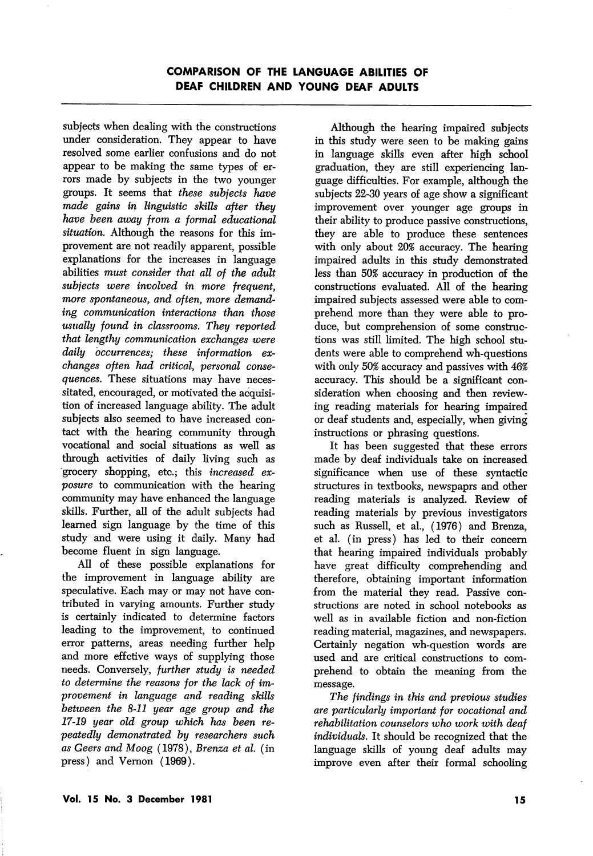subjects when dealing with the constructions under consideration. They appear to have resolved some earlier confusions and do not appear to be making the same types of er rors made by subjects in the two younger groups. It seems that these subjects have made gains in linguistic skills after they have been away from a formal educational situation. Although the reasons for this improvement are not readily apparent, possible explanations for the increases in language abilities must consider that all of the adult subjects were involved in more frequent. more spontaneous, and often, more demand ing communication interactions than those usually found in classrooms. They reported that lengthy communication exchanges were daily occurrences; these information ex changes often had critical, personal conse quences. These situations may have neces sitated, encouraged, or motivated the acquisi tion of increased language ability. The adult subjects also seemed to have increased contact with the hearing community through vocational and social situations as well as through activities of daily living such as grocery shopping, etc.; this increased ex posure to communication with the hearing community may have enhanced the language skills. Further, all of the adult subjects had learned sign language by the time of this study and were using it daily. Many had become fluent in sign language.

All of these possible explanations for the improvement in language ability are speculative. Each may or may not have con tributed in varying amounts. Further study is certainly indicated to determine factors leading to the improvement, to continued error patterns, areas needing further help and more effctive ways of supplying those needs. Conversely, further study is needed to determine the reasons for the lack of im provement in language and reading skills between the 8-11 year age group and the 17-19 year old group which has been re peatedly demonstrated by researchers such as Geers and Moog (1978), Brenza et al. (in press) and Vernon (1969).

Although the hearing impaired subjects in this study were seen to be making gains in language skills even after high school graduation, they are still experiencing lan guage difficulties. For example, although the subjects 22-30 years of age show a significant improvement over younger age groups in their ability to produce passive constructions, they are able to produce these sentences with only about 20% accuracy. The hearing impaired adults in this study demonstrated less than 50% accuracy in production of the constructions evaluated. All of the hearing impaired subjects assessed were able to com prehend more than they were able to pro duce, but comprehension of some construc tions was still limited. The high school stu dents were able to comprehend wh-questions with only 50% accuracy and passives with 46% accuracy. This should be a significant con sideration when choosing and then review ing reading materials for hearing impaired or deaf students and, especially, when giving instructions or phrasing questions.

It has been suggested that these errors made by deaf individuals take on increased significance when use of these syntactic structures in textbooks, newspaprs and other reading materials is analyzed. Review of reading materials by previous investigators such as Russell, et al., (1976) and Brenza, et al. (in press) has led to their concern that hearing impaired individuals probably have great difficulty comprehending and therefore, obtaining important information from the material they read. Passive con structions are noted in school notebooks as well as in available fiction and non-fiction reading material, magazines, and newspapers. Certainly negation wh-question words are used and are critical constructions to com prehend to obtain the meaning from the message.

The findings in this and previous studies are particularly important for vocational and rehabilitation counselors who work with deaf individuals. It should be recognized that the language skills of young deaf adults may improve even after their formal schooling